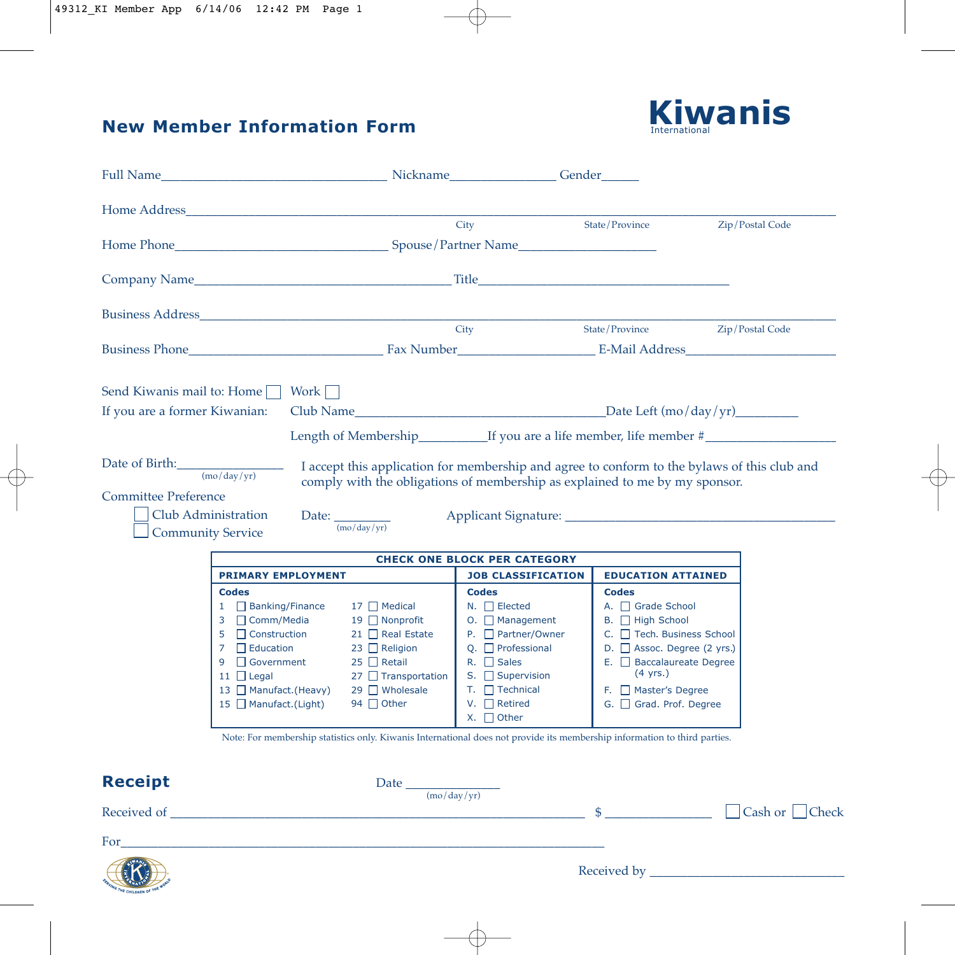# **New Member Information Form**



|                                                                                                                | Home Address and the state of the state of the state of the state of the state of the state of the state of the state of the state of the state of the state of the state of the state of the state of the state of the state                                                                                                                                                       |                                                                                                                                                   |                                                                                                                                                                                                                                                                                                                                                                                                               |                                                                                                                                                                                                                                             |                         |
|----------------------------------------------------------------------------------------------------------------|-------------------------------------------------------------------------------------------------------------------------------------------------------------------------------------------------------------------------------------------------------------------------------------------------------------------------------------------------------------------------------------|---------------------------------------------------------------------------------------------------------------------------------------------------|---------------------------------------------------------------------------------------------------------------------------------------------------------------------------------------------------------------------------------------------------------------------------------------------------------------------------------------------------------------------------------------------------------------|---------------------------------------------------------------------------------------------------------------------------------------------------------------------------------------------------------------------------------------------|-------------------------|
|                                                                                                                | Home Phone <b>Example 2</b> Spouse/Partner Name                                                                                                                                                                                                                                                                                                                                     |                                                                                                                                                   | City                                                                                                                                                                                                                                                                                                                                                                                                          | State/Province                                                                                                                                                                                                                              | Zip/Postal Code         |
|                                                                                                                |                                                                                                                                                                                                                                                                                                                                                                                     |                                                                                                                                                   |                                                                                                                                                                                                                                                                                                                                                                                                               |                                                                                                                                                                                                                                             |                         |
|                                                                                                                | <b>Business Address Exercísion Exercísion Exercísion Exercísion</b>                                                                                                                                                                                                                                                                                                                 |                                                                                                                                                   | City                                                                                                                                                                                                                                                                                                                                                                                                          | State/Province                                                                                                                                                                                                                              | Zip/Postal Code         |
|                                                                                                                |                                                                                                                                                                                                                                                                                                                                                                                     |                                                                                                                                                   |                                                                                                                                                                                                                                                                                                                                                                                                               |                                                                                                                                                                                                                                             |                         |
| Send Kiwanis mail to: Home<br>If you are a former Kiwanian:                                                    | Work                                                                                                                                                                                                                                                                                                                                                                                |                                                                                                                                                   |                                                                                                                                                                                                                                                                                                                                                                                                               |                                                                                                                                                                                                                                             |                         |
| Date of Birth: $(mo/day/yr)$<br><b>Committee Preference</b><br>Club Administration<br><b>Community Service</b> | Date: $\frac{1}{\left(\text{mo/day/yr}\right)}$                                                                                                                                                                                                                                                                                                                                     |                                                                                                                                                   | I accept this application for membership and agree to conform to the bylaws of this club and<br>comply with the obligations of membership as explained to me by my sponsor.<br>Applicant Signature: Letter and the state of the state of the state of the state of the state of the state of the state of the state of the state of the state of the state of the state of the state of the state of the stat |                                                                                                                                                                                                                                             |                         |
|                                                                                                                |                                                                                                                                                                                                                                                                                                                                                                                     |                                                                                                                                                   | <b>CHECK ONE BLOCK PER CATEGORY</b>                                                                                                                                                                                                                                                                                                                                                                           |                                                                                                                                                                                                                                             |                         |
|                                                                                                                | <b>PRIMARY EMPLOYMENT</b><br><b>Codes</b><br>1 Banking/Finance<br>3<br>□ Comm/Media<br>5<br>$\Box$ Construction<br>$\overline{7}$<br>$\Box$ Education<br>$9 \Box$ Government<br>11 $\Box$ Legal<br>13 Manufact. (Heavy)<br>15 $\Box$ Manufact. (Light)<br>Note: For membership statistics only. Kiwanis International does not provide its membership information to third parties. | $17 \Box$ Medical<br>19 □ Nonprofit<br>21 Real Estate<br>23 □ Religion<br>$25$ Retail<br>$27$ Transportation<br>29 ■ Wholesale<br>94 $\Box$ Other | <b>JOB CLASSIFICATION</b><br><b>Codes</b><br>$N.$ $\Box$ Elected<br>$O.$ $\Box$ Management<br>$P. \Box$ Partner/Owner<br>Q. $\Box$ Professional<br>$R. \Box$ Sales<br>S. $\Box$ Supervision<br>$T. \Box$ Technical<br>$V.$ Retired<br>$X. \Box$ Other                                                                                                                                                         | <b>EDUCATION ATTAINED</b><br><b>Codes</b><br>A. Grade School<br>B. High School<br>C. Fech. Business School<br>D. B Assoc. Degree (2 yrs.)<br>$E.$ Baccalaureate Degree<br>$(4 \text{ yrs.})$<br>F. Master's Degree<br>G. Grad. Prof. Degree |                         |
| <b>Receipt</b>                                                                                                 |                                                                                                                                                                                                                                                                                                                                                                                     | Date $\frac{1}{(m\sigma/\text{day/yr})^2}$                                                                                                        |                                                                                                                                                                                                                                                                                                                                                                                                               |                                                                                                                                                                                                                                             |                         |
| For                                                                                                            |                                                                                                                                                                                                                                                                                                                                                                                     |                                                                                                                                                   |                                                                                                                                                                                                                                                                                                                                                                                                               |                                                                                                                                                                                                                                             | Cash or<br><b>Check</b> |
| EK.                                                                                                            |                                                                                                                                                                                                                                                                                                                                                                                     |                                                                                                                                                   |                                                                                                                                                                                                                                                                                                                                                                                                               | Received by                                                                                                                                                                                                                                 |                         |